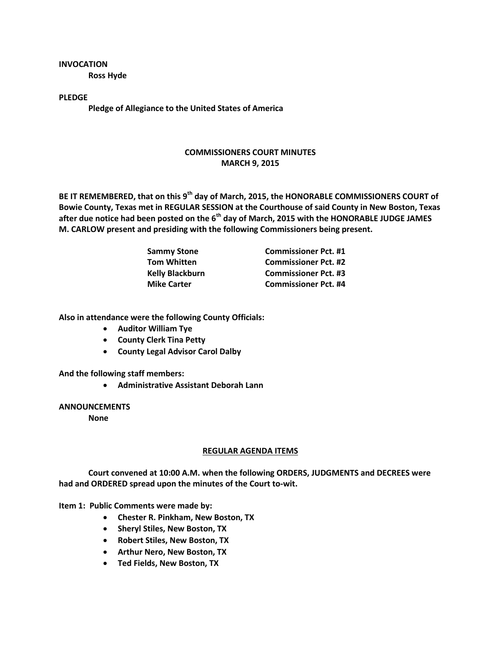**INVOCATION Ross Hyde**

**PLEDGE Pledge of Allegiance to the United States of America**

## **COMMISSIONERS COURT MINUTES MARCH 9, 2015**

**BE IT REMEMBERED, that on this 9th day of March, 2015, the HONORABLE COMMISSIONERS COURT of Bowie County, Texas met in REGULAR SESSION at the Courthouse of said County in New Boston, Texas after due notice had been posted on the 6th day of March, 2015 with the HONORABLE JUDGE JAMES M. CARLOW present and presiding with the following Commissioners being present.**

| <b>Sammy Stone</b>     | <b>Commissioner Pct. #1</b> |
|------------------------|-----------------------------|
| <b>Tom Whitten</b>     | <b>Commissioner Pct. #2</b> |
| <b>Kelly Blackburn</b> | <b>Commissioner Pct. #3</b> |
| <b>Mike Carter</b>     | <b>Commissioner Pct. #4</b> |

**Also in attendance were the following County Officials:**

- **Auditor William Tye**
- **County Clerk Tina Petty**
- **County Legal Advisor Carol Dalby**

**And the following staff members:**

**Administrative Assistant Deborah Lann**

**ANNOUNCEMENTS**

**None**

## **REGULAR AGENDA ITEMS**

**Court convened at 10:00 A.M. when the following ORDERS, JUDGMENTS and DECREES were had and ORDERED spread upon the minutes of the Court to-wit.**

**Item 1: Public Comments were made by:**

- **Chester R. Pinkham, New Boston, TX**
- **Sheryl Stiles, New Boston, TX**
- **Robert Stiles, New Boston, TX**
- **Arthur Nero, New Boston, TX**
- **Ted Fields, New Boston, TX**